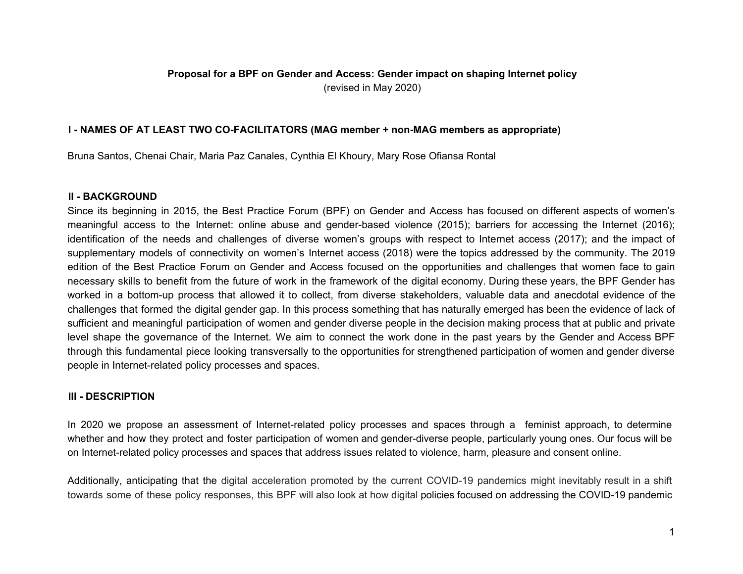# **Proposal for a BPF on Gender and Access: Gender impact on shaping Internet policy** (revised in May 2020)

### **I - NAMES OF AT LEAST TWO CO-FACILITATORS (MAG member + non-MAG members as appropriate)**

Bruna Santos, Chenai Chair, Maria Paz Canales, Cynthia El Khoury, Mary Rose Ofiansa Rontal

#### **II - BACKGROUND**

Since its beginning in 2015, the Best Practice Forum (BPF) on Gender and Access has focused on different aspects of women's meaningful access to the Internet: online abuse and gender-based violence (2015); barriers for accessing the Internet (2016); identification of the needs and challenges of diverse women's groups with respect to Internet access (2017); and the impact of supplementary models of connectivity on women's Internet access (2018) were the topics addressed by the community. The 2019 edition of the Best Practice Forum on Gender and Access focused on the opportunities and challenges that women face to gain necessary skills to benefit from the future of work in the framework of the digital economy. During these years, the BPF Gender has worked in a bottom-up process that allowed it to collect, from diverse stakeholders, valuable data and anecdotal evidence of the challenges that formed the digital gender gap. In this process something that has naturally emerged has been the evidence of lack of sufficient and meaningful participation of women and gender diverse people in the decision making process that at public and private level shape the governance of the Internet. We aim to connect the work done in the past years by the Gender and Access BPF through this fundamental piece looking transversally to the opportunities for strengthened participation of women and gender diverse people in Internet-related policy processes and spaces.

### **III - DESCRIPTION**

In 2020 we propose an assessment of Internet-related policy processes and spaces through a feminist approach, to determine whether and how they protect and foster participation of women and gender-diverse people, particularly young ones. Our focus will be on Internet-related policy processes and spaces that address issues related to violence, harm, pleasure and consent online.

Additionally, anticipating that the digital acceleration promoted by the current COVID-19 pandemics might inevitably result in a shift towards some of these policy responses, this BPF will also look at how digital policies focused on addressing the COVID-19 pandemic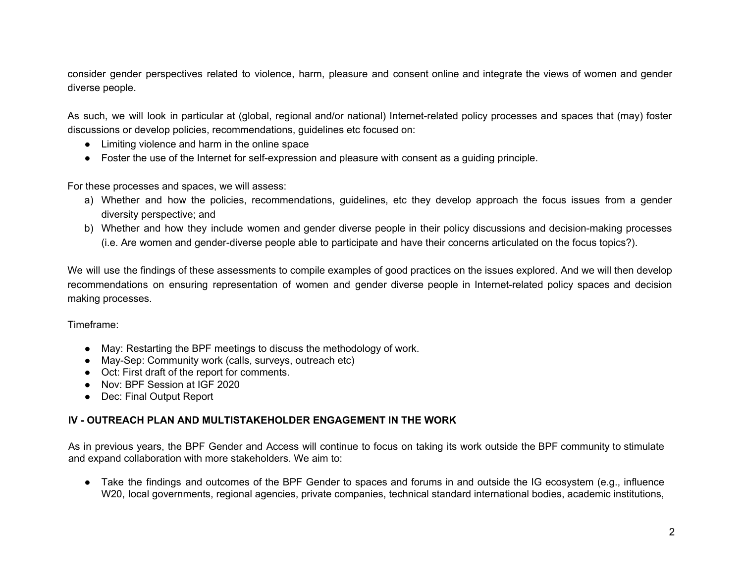consider gender perspectives related to violence, harm, pleasure and consent online and integrate the views of women and gender diverse people.

As such, we will look in particular at (global, regional and/or national) Internet-related policy processes and spaces that (may) foster discussions or develop policies, recommendations, guidelines etc focused on:

- Limiting violence and harm in the online space
- Foster the use of the Internet for self-expression and pleasure with consent as a guiding principle.

For these processes and spaces, we will assess:

- a) Whether and how the policies, recommendations, guidelines, etc they develop approach the focus issues from a gender diversity perspective; and
- b) Whether and how they include women and gender diverse people in their policy discussions and decision-making processes (i.e. Are women and gender-diverse people able to participate and have their concerns articulated on the focus topics?).

We will use the findings of these assessments to compile examples of good practices on the issues explored. And we will then develop recommendations on ensuring representation of women and gender diverse people in Internet-related policy spaces and decision making processes.

Timeframe:

- May: Restarting the BPF meetings to discuss the methodology of work.
- May-Sep: Community work (calls, surveys, outreach etc)
- Oct: First draft of the report for comments.
- Nov: BPF Session at IGF 2020
- Dec: Final Output Report

# **IV - OUTREACH PLAN AND MULTISTAKEHOLDER ENGAGEMENT IN THE WORK**

As in previous years, the BPF Gender and Access will continue to focus on taking its work outside the BPF community to stimulate and expand collaboration with more stakeholders. We aim to:

• Take the findings and outcomes of the BPF Gender to spaces and forums in and outside the IG ecosystem (e.g., influence W<sub>20</sub>, local governments, regional agencies, private companies, technical standard international bodies, academic institutions,